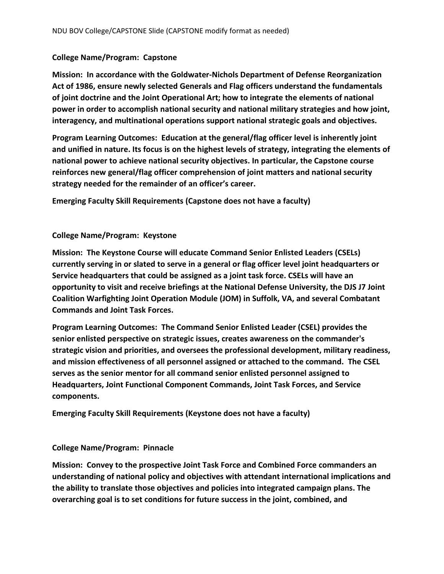## **College Name/Program: Capstone**

**Mission: In accordance with the Goldwater-Nichols Department of Defense Reorganization Act of 1986, ensure newly selected Generals and Flag officers understand the fundamentals of joint doctrine and the Joint Operational Art; how to integrate the elements of national power in order to accomplish national security and national military strategies and how joint, interagency, and multinational operations support national strategic goals and objectives.**

**Program Learning Outcomes: Education at the general/flag officer level is inherently joint and unified in nature. Its focus is on the highest levels of strategy, integrating the elements of national power to achieve national security objectives. In particular, the Capstone course reinforces new general/flag officer comprehension of joint matters and national security strategy needed for the remainder of an officer's career.**

**Emerging Faculty Skill Requirements (Capstone does not have a faculty)**

## **College Name/Program: Keystone**

**Mission: The Keystone Course will educate Command Senior Enlisted Leaders (CSELs) currently serving in or slated to serve in a general or flag officer level joint headquarters or Service headquarters that could be assigned as a joint task force. CSELs will have an opportunity to visit and receive briefings at the National Defense University, the DJS J7 Joint Coalition Warfighting Joint Operation Module (JOM) in Suffolk, VA, and several Combatant Commands and Joint Task Forces.**

**Program Learning Outcomes: The Command Senior Enlisted Leader (CSEL) provides the senior enlisted perspective on strategic issues, creates awareness on the commander's strategic vision and priorities, and oversees the professional development, military readiness, and mission effectiveness of all personnel assigned or attached to the command. The CSEL serves as the senior mentor for all command senior enlisted personnel assigned to Headquarters, Joint Functional Component Commands, Joint Task Forces, and Service components.**

**Emerging Faculty Skill Requirements (Keystone does not have a faculty)**

## **College Name/Program: Pinnacle**

**Mission: Convey to the prospective Joint Task Force and Combined Force commanders an understanding of national policy and objectives with attendant international implications and the ability to translate those objectives and policies into integrated campaign plans. The overarching goal is to set conditions for future success in the joint, combined, and**